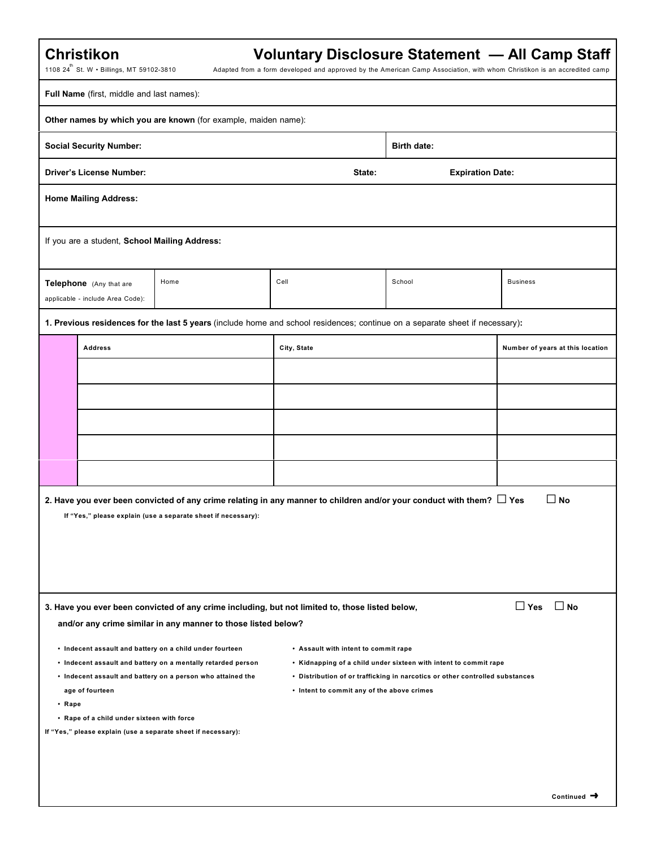|  | Christikon |
|--|------------|
|  |            |

## **Voluntary Disclosure Statement — All Camp Staff**

1108  $24^{th}$  St. W • Billings, MT 59102-3810

Adapted from a form developed and approved by the American Camp Association, with whom Christikon is an accredited camp

|              | Full Name (first, middle and last names):                     |                                                                                                                                                                                                                                                          |                                                                                    |                                                                                                                                                  |                                  |
|--------------|---------------------------------------------------------------|----------------------------------------------------------------------------------------------------------------------------------------------------------------------------------------------------------------------------------------------------------|------------------------------------------------------------------------------------|--------------------------------------------------------------------------------------------------------------------------------------------------|----------------------------------|
|              |                                                               | Other names by which you are known (for example, maiden name):                                                                                                                                                                                           |                                                                                    |                                                                                                                                                  |                                  |
|              | <b>Social Security Number:</b>                                |                                                                                                                                                                                                                                                          |                                                                                    | <b>Birth date:</b>                                                                                                                               |                                  |
|              | <b>Driver's License Number:</b>                               |                                                                                                                                                                                                                                                          | State:                                                                             | <b>Expiration Date:</b>                                                                                                                          |                                  |
|              | <b>Home Mailing Address:</b>                                  |                                                                                                                                                                                                                                                          |                                                                                    |                                                                                                                                                  |                                  |
|              | If you are a student, School Mailing Address:                 |                                                                                                                                                                                                                                                          |                                                                                    |                                                                                                                                                  |                                  |
|              | Telephone (Any that are<br>applicable - include Area Code):   | Home                                                                                                                                                                                                                                                     | Cell                                                                               | School                                                                                                                                           | <b>Business</b>                  |
|              |                                                               | 1. Previous residences for the last 5 years (include home and school residences; continue on a separate sheet if necessary):                                                                                                                             |                                                                                    |                                                                                                                                                  |                                  |
|              | <b>Address</b>                                                |                                                                                                                                                                                                                                                          | City, State                                                                        |                                                                                                                                                  | Number of years at this location |
|              |                                                               |                                                                                                                                                                                                                                                          |                                                                                    |                                                                                                                                                  |                                  |
|              |                                                               |                                                                                                                                                                                                                                                          |                                                                                    |                                                                                                                                                  |                                  |
|              |                                                               |                                                                                                                                                                                                                                                          |                                                                                    |                                                                                                                                                  |                                  |
|              |                                                               |                                                                                                                                                                                                                                                          |                                                                                    |                                                                                                                                                  |                                  |
|              |                                                               |                                                                                                                                                                                                                                                          |                                                                                    |                                                                                                                                                  |                                  |
|              |                                                               | 2. Have you ever been convicted of any crime relating in any manner to children and/or your conduct with them? $\Box$ Yes<br>If "Yes," please explain (use a separate sheet if necessary):                                                               |                                                                                    |                                                                                                                                                  | $\square$ No                     |
|              |                                                               |                                                                                                                                                                                                                                                          |                                                                                    |                                                                                                                                                  |                                  |
|              |                                                               | 3. Have you ever been convicted of any crime including, but not limited to, those listed below,<br>and/or any crime similar in any manner to those listed below?                                                                                         |                                                                                    |                                                                                                                                                  | $\Box$ Yes $\Box$ No             |
| $\cdot$ Rape | age of fourteen<br>• Rape of a child under sixteen with force | • Indecent assault and battery on a child under fourteen<br>• Indecent assault and battery on a mentally retarded person<br>• Indecent assault and battery on a person who attained the<br>If "Yes," please explain (use a separate sheet if necessary): | • Assault with intent to commit rape<br>• Intent to commit any of the above crimes | • Kidnapping of a child under sixteen with intent to commit rape<br>• Distribution of or trafficking in narcotics or other controlled substances |                                  |
|              |                                                               |                                                                                                                                                                                                                                                          |                                                                                    |                                                                                                                                                  | Continued $\rightarrow$          |